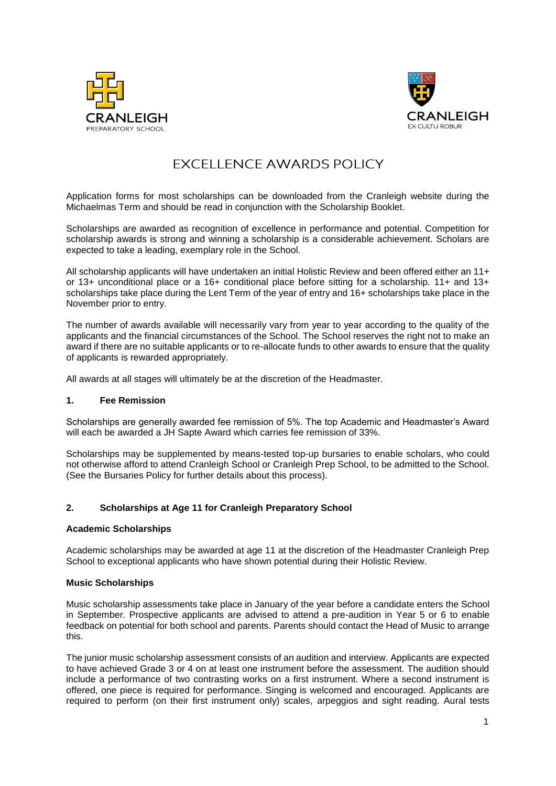



# **EXCELLENCE AWARDS POLICY**

Application forms for most scholarships can be downloaded from the Cranleigh website during the Michaelmas Term and should be read in conjunction with the Scholarship Booklet.

Scholarships are awarded as recognition of excellence in performance and potential. Competition for scholarship awards is strong and winning a scholarship is a considerable achievement. Scholars are expected to take a leading, exemplary role in the School.

All scholarship applicants will have undertaken an initial Holistic Review and been offered either an 11+ or 13+ unconditional place or a 16+ conditional place before sitting for a scholarship. 11+ and 13+ scholarships take place during the Lent Term of the year of entry and 16+ scholarships take place in the November prior to entry.

The number of awards available will necessarily vary from year to year according to the quality of the applicants and the financial circumstances of the School. The School reserves the right not to make an award if there are no suitable applicants or to re-allocate funds to other awards to ensure that the quality of applicants is rewarded appropriately.

All awards at all stages will ultimately be at the discretion of the Headmaster.

# **1. Fee Remission**

Scholarships are generally awarded fee remission of 5%. The top Academic and Headmaster's Award will each be awarded a JH Sapte Award which carries fee remission of 33%.

Scholarships may be supplemented by means-tested top-up bursaries to enable scholars, who could not otherwise afford to attend Cranleigh School or Cranleigh Prep School, to be admitted to the School. (See the Bursaries Policy for further details about this process).

# **2. Scholarships at Age 11 for Cranleigh Preparatory School**

## **Academic Scholarships**

Academic scholarships may be awarded at age 11 at the discretion of the Headmaster Cranleigh Prep School to exceptional applicants who have shown potential during their Holistic Review.

## **Music Scholarships**

Music scholarship assessments take place in January of the year before a candidate enters the School in September. Prospective applicants are advised to attend a pre-audition in Year 5 or 6 to enable feedback on potential for both school and parents. Parents should contact the Head of Music to arrange this.

The junior music scholarship assessment consists of an audition and interview. Applicants are expected to have achieved Grade 3 or 4 on at least one instrument before the assessment. The audition should include a performance of two contrasting works on a first instrument. Where a second instrument is offered, one piece is required for performance. Singing is welcomed and encouraged. Applicants are required to perform (on their first instrument only) scales, arpeggios and sight reading. Aural tests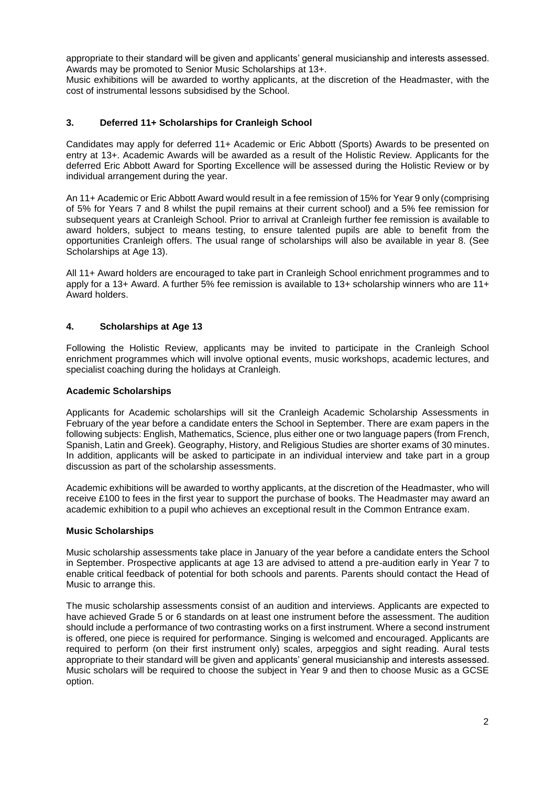appropriate to their standard will be given and applicants' general musicianship and interests assessed. Awards may be promoted to Senior Music Scholarships at 13+.

Music exhibitions will be awarded to worthy applicants, at the discretion of the Headmaster, with the cost of instrumental lessons subsidised by the School.

## **3. Deferred 11+ Scholarships for Cranleigh School**

Candidates may apply for deferred 11+ Academic or Eric Abbott (Sports) Awards to be presented on entry at 13+. Academic Awards will be awarded as a result of the Holistic Review. Applicants for the deferred Eric Abbott Award for Sporting Excellence will be assessed during the Holistic Review or by individual arrangement during the year.

An 11+ Academic or Eric Abbott Award would result in a fee remission of 15% for Year 9 only (comprising of 5% for Years 7 and 8 whilst the pupil remains at their current school) and a 5% fee remission for subsequent years at Cranleigh School. Prior to arrival at Cranleigh further fee remission is available to award holders, subject to means testing, to ensure talented pupils are able to benefit from the opportunities Cranleigh offers. The usual range of scholarships will also be available in year 8. (See Scholarships at Age 13).

All 11+ Award holders are encouraged to take part in Cranleigh School enrichment programmes and to apply for a 13+ Award. A further 5% fee remission is available to 13+ scholarship winners who are 11+ Award holders.

## **4. Scholarships at Age 13**

Following the Holistic Review, applicants may be invited to participate in the Cranleigh School enrichment programmes which will involve optional events, music workshops, academic lectures, and specialist coaching during the holidays at Cranleigh.

## **Academic Scholarships**

Applicants for Academic scholarships will sit the Cranleigh Academic Scholarship Assessments in February of the year before a candidate enters the School in September. There are exam papers in the following subjects: English, Mathematics, Science, plus either one or two language papers (from French, Spanish, Latin and Greek). Geography, History, and Religious Studies are shorter exams of 30 minutes. In addition, applicants will be asked to participate in an individual interview and take part in a group discussion as part of the scholarship assessments.

Academic exhibitions will be awarded to worthy applicants, at the discretion of the Headmaster, who will receive £100 to fees in the first year to support the purchase of books. The Headmaster may award an academic exhibition to a pupil who achieves an exceptional result in the Common Entrance exam.

## **Music Scholarships**

Music scholarship assessments take place in January of the year before a candidate enters the School in September. Prospective applicants at age 13 are advised to attend a pre-audition early in Year 7 to enable critical feedback of potential for both schools and parents. Parents should contact the Head of Music to arrange this.

The music scholarship assessments consist of an audition and interviews. Applicants are expected to have achieved Grade 5 or 6 standards on at least one instrument before the assessment. The audition should include a performance of two contrasting works on a first instrument. Where a second instrument is offered, one piece is required for performance. Singing is welcomed and encouraged. Applicants are required to perform (on their first instrument only) scales, arpeggios and sight reading. Aural tests appropriate to their standard will be given and applicants' general musicianship and interests assessed. Music scholars will be required to choose the subject in Year 9 and then to choose Music as a GCSE option.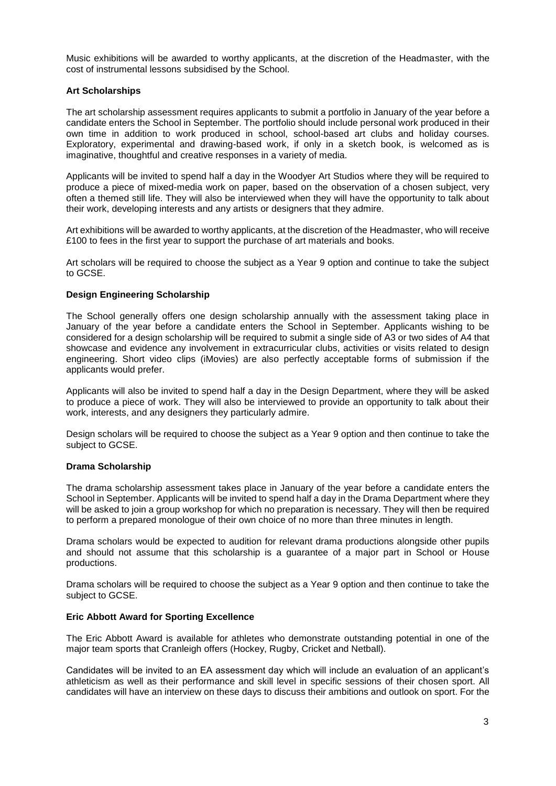Music exhibitions will be awarded to worthy applicants, at the discretion of the Headmaster, with the cost of instrumental lessons subsidised by the School.

# **Art Scholarships**

The art scholarship assessment requires applicants to submit a portfolio in January of the year before a candidate enters the School in September. The portfolio should include personal work produced in their own time in addition to work produced in school, school-based art clubs and holiday courses. Exploratory, experimental and drawing-based work, if only in a sketch book, is welcomed as is imaginative, thoughtful and creative responses in a variety of media.

Applicants will be invited to spend half a day in the Woodyer Art Studios where they will be required to produce a piece of mixed-media work on paper, based on the observation of a chosen subject, very often a themed still life. They will also be interviewed when they will have the opportunity to talk about their work, developing interests and any artists or designers that they admire.

Art exhibitions will be awarded to worthy applicants, at the discretion of the Headmaster, who will receive £100 to fees in the first year to support the purchase of art materials and books.

Art scholars will be required to choose the subject as a Year 9 option and continue to take the subject to GCSE.

## **Design Engineering Scholarship**

The School generally offers one design scholarship annually with the assessment taking place in January of the year before a candidate enters the School in September. Applicants wishing to be considered for a design scholarship will be required to submit a single side of A3 or two sides of A4 that showcase and evidence any involvement in extracurricular clubs, activities or visits related to design engineering. Short video clips (iMovies) are also perfectly acceptable forms of submission if the applicants would prefer.

Applicants will also be invited to spend half a day in the Design Department, where they will be asked to produce a piece of work. They will also be interviewed to provide an opportunity to talk about their work, interests, and any designers they particularly admire.

Design scholars will be required to choose the subject as a Year 9 option and then continue to take the subject to GCSE.

## **Drama Scholarship**

The drama scholarship assessment takes place in January of the year before a candidate enters the School in September. Applicants will be invited to spend half a day in the Drama Department where they will be asked to join a group workshop for which no preparation is necessary. They will then be required to perform a prepared monologue of their own choice of no more than three minutes in length.

Drama scholars would be expected to audition for relevant drama productions alongside other pupils and should not assume that this scholarship is a guarantee of a major part in School or House productions.

Drama scholars will be required to choose the subject as a Year 9 option and then continue to take the subject to GCSE.

## **Eric Abbott Award for Sporting Excellence**

The Eric Abbott Award is available for athletes who demonstrate outstanding potential in one of the major team sports that Cranleigh offers (Hockey, Rugby, Cricket and Netball).

Candidates will be invited to an EA assessment day which will include an evaluation of an applicant's athleticism as well as their performance and skill level in specific sessions of their chosen sport. All candidates will have an interview on these days to discuss their ambitions and outlook on sport. For the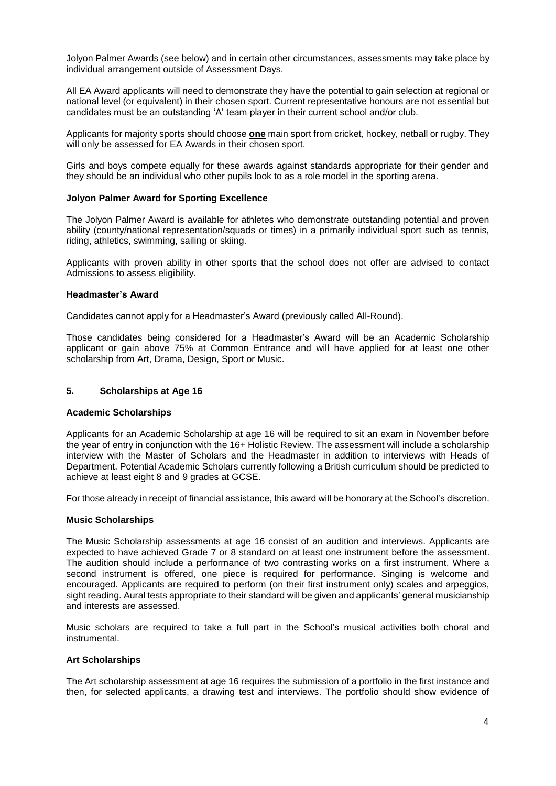Jolyon Palmer Awards (see below) and in certain other circumstances, assessments may take place by individual arrangement outside of Assessment Days.

All EA Award applicants will need to demonstrate they have the potential to gain selection at regional or national level (or equivalent) in their chosen sport. Current representative honours are not essential but candidates must be an outstanding 'A' team player in their current school and/or club.

Applicants for majority sports should choose **one** main sport from cricket, hockey, netball or rugby. They will only be assessed for EA Awards in their chosen sport.

Girls and boys compete equally for these awards against standards appropriate for their gender and they should be an individual who other pupils look to as a role model in the sporting arena.

## **Jolyon Palmer Award for Sporting Excellence**

The Jolyon Palmer Award is available for athletes who demonstrate outstanding potential and proven ability (county/national representation/squads or times) in a primarily individual sport such as tennis, riding, athletics, swimming, sailing or skiing.

Applicants with proven ability in other sports that the school does not offer are advised to contact Admissions to assess eligibility.

## **Headmaster's Award**

Candidates cannot apply for a Headmaster's Award (previously called All-Round).

Those candidates being considered for a Headmaster's Award will be an Academic Scholarship applicant or gain above 75% at Common Entrance and will have applied for at least one other scholarship from Art, Drama, Design, Sport or Music.

## **5. Scholarships at Age 16**

# **Academic Scholarships**

Applicants for an Academic Scholarship at age 16 will be required to sit an exam in November before the year of entry in conjunction with the 16+ Holistic Review. The assessment will include a scholarship interview with the Master of Scholars and the Headmaster in addition to interviews with Heads of Department. Potential Academic Scholars currently following a British curriculum should be predicted to achieve at least eight 8 and 9 grades at GCSE.

For those already in receipt of financial assistance, this award will be honorary at the School's discretion.

## **Music Scholarships**

The Music Scholarship assessments at age 16 consist of an audition and interviews. Applicants are expected to have achieved Grade 7 or 8 standard on at least one instrument before the assessment. The audition should include a performance of two contrasting works on a first instrument. Where a second instrument is offered, one piece is required for performance. Singing is welcome and encouraged. Applicants are required to perform (on their first instrument only) scales and arpeggios, sight reading. Aural tests appropriate to their standard will be given and applicants' general musicianship and interests are assessed.

Music scholars are required to take a full part in the School's musical activities both choral and instrumental.

# **Art Scholarships**

The Art scholarship assessment at age 16 requires the submission of a portfolio in the first instance and then, for selected applicants, a drawing test and interviews. The portfolio should show evidence of